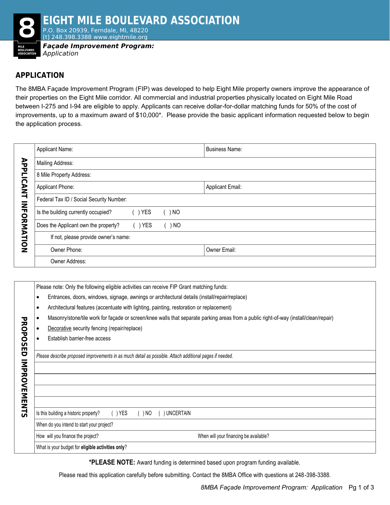

## **APPLICATION**

The 8MBA Façade Improvement Program (FIP) was developed to help Eight Mile property owners improve the appearance of their properties on the Eight Mile corridor. All commercial and industrial properties physically located on Eight Mile Road between I-275 and I-94 are eligible to apply. Applicants can receive dollar-for-dollar matching funds for 50% of the cost of improvements, up to a maximum award of \$10,000\*. Please provide the basic applicant information requested below to begin the application process.

|                             | Applicant Name:                          |            |        | <b>Business Name:</b>   |  |  |
|-----------------------------|------------------------------------------|------------|--------|-------------------------|--|--|
| <b>APPLI</b>                | Mailing Address:                         |            |        |                         |  |  |
|                             | 8 Mile Property Address:                 |            |        |                         |  |  |
| റ<br>ط<br>∑<br>⊣<br>Ξ<br>ඁ෮ | Applicant Phone:                         |            |        | <b>Applicant Email:</b> |  |  |
|                             | Federal Tax ID / Social Security Number: |            |        |                         |  |  |
|                             | Is the building currently occupied?      | <b>YES</b> | ) NO   |                         |  |  |
| スミ                          | Does the Applicant own the property?     | YES        | ( ) NO |                         |  |  |
| <b>ATION</b>                | If not, please provide owner's name:     |            |        |                         |  |  |
|                             | Owner Phone:                             |            |        | Owner Email:            |  |  |
|                             | Owner Address:                           |            |        |                         |  |  |

|                | Please note: Only the following eligible activities can receive FIP Grant matching funds: |                                                                                                                                                                                                              |  |  |  |  |
|----------------|-------------------------------------------------------------------------------------------|--------------------------------------------------------------------------------------------------------------------------------------------------------------------------------------------------------------|--|--|--|--|
|                | ٠                                                                                         | Entrances, doors, windows, signage, awnings or architectural details (install/repair/replace)                                                                                                                |  |  |  |  |
|                | $\bullet$                                                                                 | Architectural features (accentuate with lighting, painting, restoration or replacement)                                                                                                                      |  |  |  |  |
|                |                                                                                           | Masonry/stone/tile work for façade or screen/knee walls that separate parking areas from a public right-of-way (install/clean/repair)                                                                        |  |  |  |  |
| <b>PROPOSE</b> | ٠                                                                                         | Decorative security fencing (repair/replace)                                                                                                                                                                 |  |  |  |  |
|                |                                                                                           | Establish barrier-free access                                                                                                                                                                                |  |  |  |  |
| IMPROVEMENTS   |                                                                                           | Is this building a historic property?<br>$( )$ YES<br>( ) NO<br><b>UNCERTAIN</b><br>When do you intend to start your project?<br>When will your financing be available?<br>How will you finance the project? |  |  |  |  |
|                |                                                                                           | What is your budget for eligible activities only?                                                                                                                                                            |  |  |  |  |

**\*PLEASE NOTE:** Award funding is determined based upon program funding available.

Please read this application carefully before submitting. Contact the 8MBA Office with questions at 248-398-3388.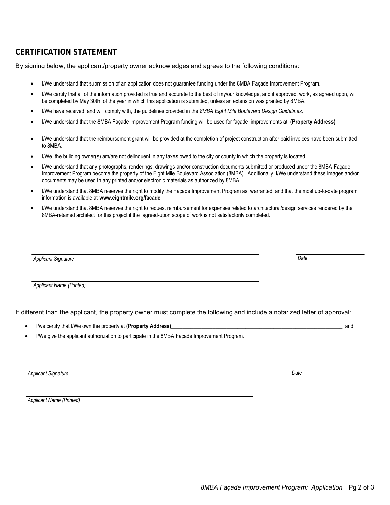## **CERTIFICATION STATEMENT**

By signing below, the applicant/property owner acknowledges and agrees to the following conditions:

- I/We understand that submission of an application does not guarantee funding under the 8MBA Façade Improvement Program.
- I/We certify that all of the information provided is true and accurate to the best of my/our knowledge, and if approved, work, as agreed upon, will be completed by May 30th of the year in which this application is submitted, unless an extension was granted by 8MBA.
- I/We have received, and will comply with, the guidelines provided in the *8MBA Eight Mile Boulevard Design Guidelines*.
- I/We understand that the 8MBA Façade Improvement Program funding will be used for façade improvements at: **(Property Address)**
- I/We understand that the reimbursement grant will be provided at the completion of project construction after paid invoices have been submitted to 8MBA.

**\_\_\_\_\_\_\_\_\_\_\_\_\_\_\_\_\_\_\_\_\_\_\_\_\_\_\_\_\_\_\_\_\_\_\_\_\_\_\_\_\_\_\_\_\_\_\_\_\_\_\_\_\_\_\_\_\_\_\_\_\_\_\_\_\_\_\_\_\_\_\_\_\_\_\_\_\_\_\_\_\_\_\_\_\_\_\_\_\_\_\_\_\_\_\_\_\_\_\_\_\_\_\_\_\_\_\_\_\_\_\_\_\_\_\_**

- I/We, the building owner(s) am/are not delinquent in any taxes owed to the city or county in which the property is located.
- I/We understand that any photographs, renderings, drawings and/or construction documents submitted or produced under the 8MBA Façade Improvement Program become the property of the Eight Mile Boulevard Association (8MBA). Additionally, I/We understand these images and/or documents may be used in any printed and/or electronic materials as authorized by 8MBA.
- I/We understand that 8MBA reserves the right to modify the Façade Improvement Program as warranted, and that the most up-to-date program information is available at **www.eightmile.org/facade**
- I/We understand that 8MBA reserves the right to request reimbursement for expenses related to architectural/design services rendered by the 8MBA-retained architect for this project if the agreed-upon scope of work is not satisfactorily completed.

| <b>Applicant Signature</b> | Date |
|----------------------------|------|
|                            |      |
|                            |      |
| Applicant Name (Printed)   |      |
|                            |      |

If different than the applicant, the property owner must complete the following and include a notarized letter of approval:

- I/we certify that I/We own the property at **(Property Address)**\_\_\_\_\_\_\_\_\_\_\_\_\_\_\_\_\_\_\_\_\_\_\_\_\_\_\_\_\_\_\_\_\_\_\_\_\_\_\_\_\_\_\_\_\_\_\_\_\_\_\_\_\_\_\_\_\_\_\_\_\_\_, and
- I/We give the applicant authorization to participate in the 8MBA Façade Improvement Program.

*Applicant Signature Date*

*Applicant Name (Printed)*